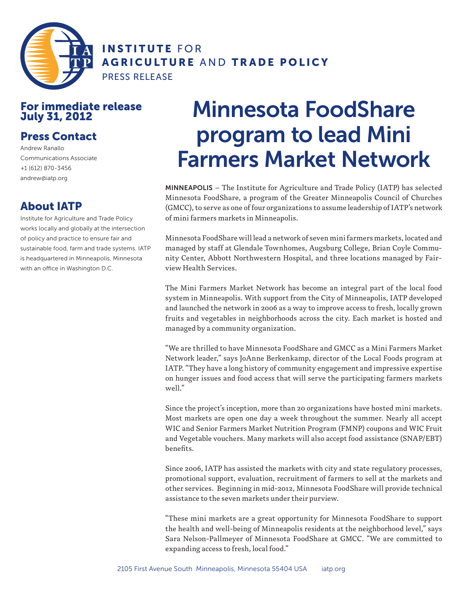

### INSTITUTE FOR AGRICULTURE AND TRADE POLICY

PRESS RELEASE

#### For immediate release July 31, 2012

## Press Contact

Andrew Ranallo Communications Associate +1 (612) 870-3456 andrew@iatp.org

## About IATP

Institute for Agriculture and Trade Policy works locally and globally at the intersection of policy and practice to ensure fair and sustainable food, farm and trade systems. IATP is headquartered in Minneapolis, Minnesota with an office in Washington D.C.

# Minnesota FoodShare program to lead Mini Farmers Market Network

MINNEAPOLIS – The Institute for Agriculture and Trade Policy (IATP) has selected Minnesota FoodShare, a program of the Greater Minneapolis Council of Churches (GMCC), to serve as one of four organizations to assume leadership of IATP's network of mini farmers markets in Minneapolis.

Minnesota FoodShare will lead a network of seven mini farmers markets, located and managed by staff at Glendale Townhomes, Augsburg College, Brian Coyle Community Center, Abbott Northwestern Hospital, and three locations managed by Fairview Health Services.

The Mini Farmers Market Network has become an integral part of the local food system in Minneapolis. With support from the City of Minneapolis, IATP developed and launched the network in 2006 as a way to improve access to fresh, locally grown fruits and vegetables in neighborhoods across the city. Each market is hosted and managed by a community organization.

"We are thrilled to have Minnesota FoodShare and GMCC as a Mini Farmers Market Network leader," says JoAnne Berkenkamp, director of the Local Foods program at IATP. "They have a long history of community engagement and impressive expertise on hunger issues and food access that will serve the participating farmers markets well."

Since the project's inception, more than 20 organizations have hosted mini markets. Most markets are open one day a week throughout the summer. Nearly all accept WIC and Senior Farmers Market Nutrition Program (FMNP) coupons and WIC Fruit and Vegetable vouchers. Many markets will also accept food assistance (SNAP/EBT) benefits.

Since 2006, IATP has assisted the markets with city and state regulatory processes, promotional support, evaluation, recruitment of farmers to sell at the markets and other services. Beginning in mid-2012, Minnesota FoodShare will provide technical assistance to the seven markets under their purview.

"These mini markets are a great opportunity for Minnesota FoodShare to support the health and well-being of Minneapolis residents at the neighborhood level," says Sara Nelson-Pallmeyer of Minnesota FoodShare at GMCC. "We are committed to expanding access to fresh, local food."